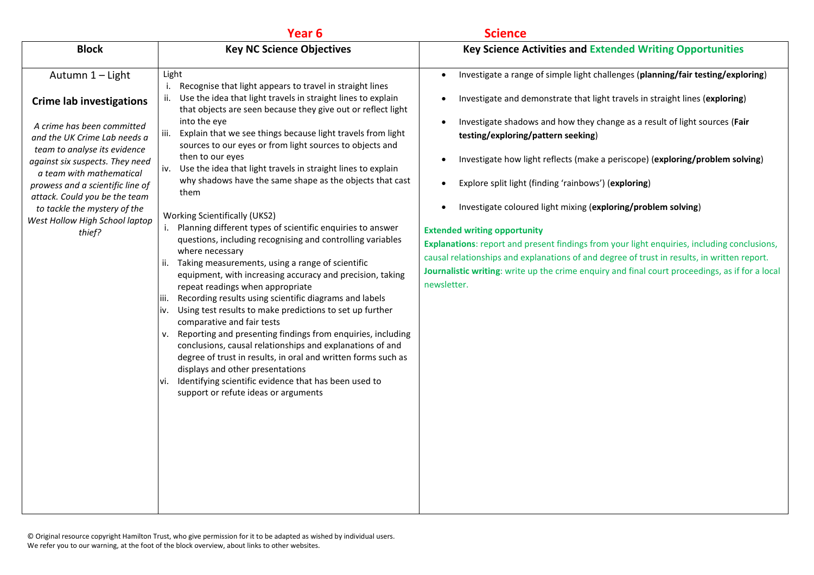|                                                                                                                                                                                                                                                                                                                                                                                   |                                                                                                                                                                                                                                                                                                                                                                                                                                                                                                                                                                                                                                                                                                                                                                                                                                       | <b>Key Science Activities and Extended Writing Opportunities</b>                                                                                                                                                                                                                                                                                                                                                                                                                                                                                                                                                                                                                                                                                                                                                                                                 |
|-----------------------------------------------------------------------------------------------------------------------------------------------------------------------------------------------------------------------------------------------------------------------------------------------------------------------------------------------------------------------------------|---------------------------------------------------------------------------------------------------------------------------------------------------------------------------------------------------------------------------------------------------------------------------------------------------------------------------------------------------------------------------------------------------------------------------------------------------------------------------------------------------------------------------------------------------------------------------------------------------------------------------------------------------------------------------------------------------------------------------------------------------------------------------------------------------------------------------------------|------------------------------------------------------------------------------------------------------------------------------------------------------------------------------------------------------------------------------------------------------------------------------------------------------------------------------------------------------------------------------------------------------------------------------------------------------------------------------------------------------------------------------------------------------------------------------------------------------------------------------------------------------------------------------------------------------------------------------------------------------------------------------------------------------------------------------------------------------------------|
| <b>Block</b><br>Autumn 1 - Light<br><b>Crime lab investigations</b><br>A crime has been committed<br>and the UK Crime Lab needs a<br>team to analyse its evidence<br>against six suspects. They need<br>a team with mathematical<br>prowess and a scientific line of<br>attack. Could you be the team<br>to tackle the mystery of the<br>West Hollow High School laptop<br>thief? | Year <sub>6</sub><br><b>Key NC Science Objectives</b><br>Light<br>i. Recognise that light appears to travel in straight lines<br>Use the idea that light travels in straight lines to explain<br>ii.<br>that objects are seen because they give out or reflect light<br>into the eye<br>Explain that we see things because light travels from light<br>iii.<br>sources to our eyes or from light sources to objects and<br>then to our eyes<br>iv. Use the idea that light travels in straight lines to explain<br>why shadows have the same shape as the objects that cast<br>them<br><b>Working Scientifically (UKS2)</b><br>i. Planning different types of scientific enquiries to answer<br>questions, including recognising and controlling variables<br>where necessary<br>ii. Taking measurements, using a range of scientific | Investigate a range of simple light challenges (planning/fair testing/exploring)<br>$\bullet$<br>Investigate and demonstrate that light travels in straight lines (exploring)<br>Investigate shadows and how they change as a result of light sources (Fair<br>testing/exploring/pattern seeking)<br>Investigate how light reflects (make a periscope) (exploring/problem solving)<br>Explore split light (finding 'rainbows') (exploring)<br>Investigate coloured light mixing (exploring/problem solving)<br>$\bullet$<br><b>Extended writing opportunity</b><br>Explanations: report and present findings from your light enquiries, including conclusions,<br>causal relationships and explanations of and degree of trust in results, in written report.<br>Journalistic writing: write up the crime enquiry and final court proceedings, as if for a local |
|                                                                                                                                                                                                                                                                                                                                                                                   | equipment, with increasing accuracy and precision, taking<br>repeat readings when appropriate<br>iii. Recording results using scientific diagrams and labels<br>iv. Using test results to make predictions to set up further<br>comparative and fair tests<br>v. Reporting and presenting findings from enquiries, including<br>conclusions, causal relationships and explanations of and<br>degree of trust in results, in oral and written forms such as<br>displays and other presentations<br>vi. Identifying scientific evidence that has been used to<br>support or refute ideas or arguments                                                                                                                                                                                                                                   | newsletter.                                                                                                                                                                                                                                                                                                                                                                                                                                                                                                                                                                                                                                                                                                                                                                                                                                                      |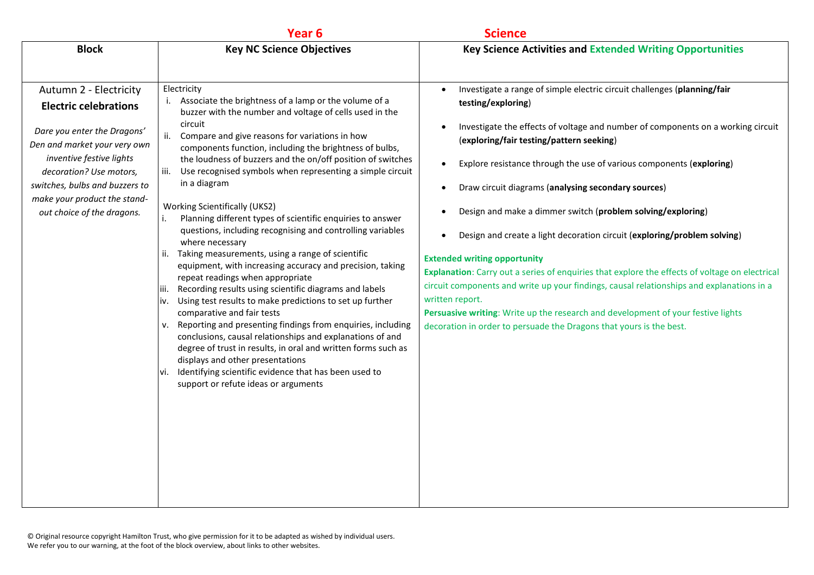|                                                                                                                                                                                                                                                                              | Year <sub>6</sub>                                                                                                                                                                                                                                                                                                                                                                                                                                                                                                                                                                                                                                                                                                                                                                                                                                                                                                                                                                                                                                                                                                                                                                                                                                                                              | <b>Science</b>                                                                                                                                                                                                                                                                                                                                                                                                                                                                                                                                                                                                                                                                                                                                                                                                                                                                                                                                                      |
|------------------------------------------------------------------------------------------------------------------------------------------------------------------------------------------------------------------------------------------------------------------------------|------------------------------------------------------------------------------------------------------------------------------------------------------------------------------------------------------------------------------------------------------------------------------------------------------------------------------------------------------------------------------------------------------------------------------------------------------------------------------------------------------------------------------------------------------------------------------------------------------------------------------------------------------------------------------------------------------------------------------------------------------------------------------------------------------------------------------------------------------------------------------------------------------------------------------------------------------------------------------------------------------------------------------------------------------------------------------------------------------------------------------------------------------------------------------------------------------------------------------------------------------------------------------------------------|---------------------------------------------------------------------------------------------------------------------------------------------------------------------------------------------------------------------------------------------------------------------------------------------------------------------------------------------------------------------------------------------------------------------------------------------------------------------------------------------------------------------------------------------------------------------------------------------------------------------------------------------------------------------------------------------------------------------------------------------------------------------------------------------------------------------------------------------------------------------------------------------------------------------------------------------------------------------|
| <b>Block</b>                                                                                                                                                                                                                                                                 | <b>Key NC Science Objectives</b>                                                                                                                                                                                                                                                                                                                                                                                                                                                                                                                                                                                                                                                                                                                                                                                                                                                                                                                                                                                                                                                                                                                                                                                                                                                               | <b>Key Science Activities and Extended Writing Opportunities</b>                                                                                                                                                                                                                                                                                                                                                                                                                                                                                                                                                                                                                                                                                                                                                                                                                                                                                                    |
| Autumn 2 - Electricity<br><b>Electric celebrations</b><br>Dare you enter the Dragons'<br>Den and market your very own<br>inventive festive lights<br>decoration? Use motors,<br>switches, bulbs and buzzers to<br>make your product the stand-<br>out choice of the dragons. | Electricity<br>Associate the brightness of a lamp or the volume of a<br>i.<br>buzzer with the number and voltage of cells used in the<br>circuit<br>ii.<br>Compare and give reasons for variations in how<br>components function, including the brightness of bulbs,<br>the loudness of buzzers and the on/off position of switches<br>Use recognised symbols when representing a simple circuit<br>iii.<br>in a diagram<br><b>Working Scientifically (UKS2)</b><br>Planning different types of scientific enquiries to answer<br>i.<br>questions, including recognising and controlling variables<br>where necessary<br>Taking measurements, using a range of scientific<br>ii.<br>equipment, with increasing accuracy and precision, taking<br>repeat readings when appropriate<br>Recording results using scientific diagrams and labels<br>liii.<br>iv. Using test results to make predictions to set up further<br>comparative and fair tests<br>v. Reporting and presenting findings from enquiries, including<br>conclusions, causal relationships and explanations of and<br>degree of trust in results, in oral and written forms such as<br>displays and other presentations<br>Identifying scientific evidence that has been used to<br>Vİ.<br>support or refute ideas or arguments | Investigate a range of simple electric circuit challenges (planning/fair<br>testing/exploring)<br>Investigate the effects of voltage and number of components on a working circuit<br>(exploring/fair testing/pattern seeking)<br>Explore resistance through the use of various components (exploring)<br>$\bullet$<br>Draw circuit diagrams (analysing secondary sources)<br>$\bullet$<br>Design and make a dimmer switch (problem solving/exploring)<br>Design and create a light decoration circuit (exploring/problem solving)<br>$\bullet$<br><b>Extended writing opportunity</b><br>Explanation: Carry out a series of enquiries that explore the effects of voltage on electrical<br>circuit components and write up your findings, causal relationships and explanations in a<br>written report.<br>Persuasive writing: Write up the research and development of your festive lights<br>decoration in order to persuade the Dragons that yours is the best. |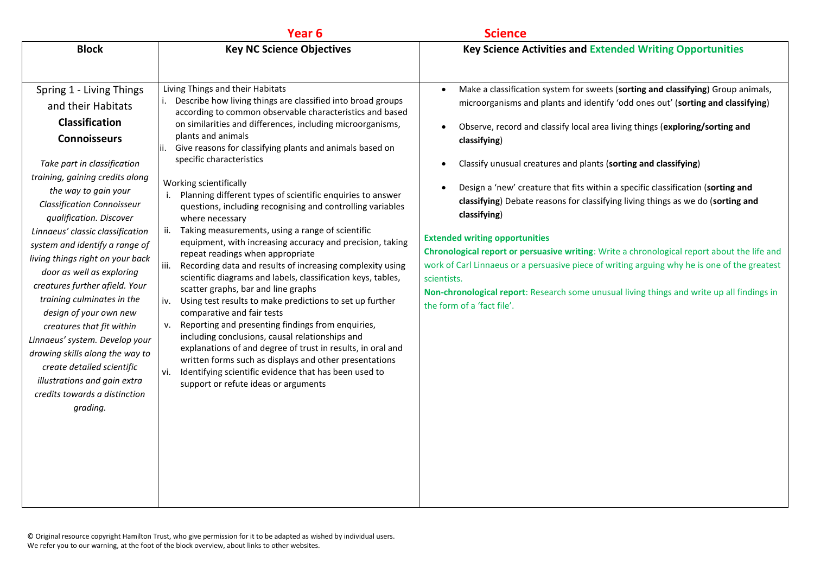|                                                                                                                                                                                                                                                                                                                                                                                                                                                                                                                                                                                                                                                                                                        | Year <sub>6</sub>                                                                                                                                                                                                                                                                                                                                                                                                                                                                                                                                                                                                                                                                                                                                                                                                                                                                                                                                                                                                                                                                                                                                                                                                                                                                                                 | <b>Science</b>                                                                                                                                                                                                                                                                                                                                                                                                                                                                                                                                                                                                                                                                                                                                                                                                                                                                                                  |
|--------------------------------------------------------------------------------------------------------------------------------------------------------------------------------------------------------------------------------------------------------------------------------------------------------------------------------------------------------------------------------------------------------------------------------------------------------------------------------------------------------------------------------------------------------------------------------------------------------------------------------------------------------------------------------------------------------|-------------------------------------------------------------------------------------------------------------------------------------------------------------------------------------------------------------------------------------------------------------------------------------------------------------------------------------------------------------------------------------------------------------------------------------------------------------------------------------------------------------------------------------------------------------------------------------------------------------------------------------------------------------------------------------------------------------------------------------------------------------------------------------------------------------------------------------------------------------------------------------------------------------------------------------------------------------------------------------------------------------------------------------------------------------------------------------------------------------------------------------------------------------------------------------------------------------------------------------------------------------------------------------------------------------------|-----------------------------------------------------------------------------------------------------------------------------------------------------------------------------------------------------------------------------------------------------------------------------------------------------------------------------------------------------------------------------------------------------------------------------------------------------------------------------------------------------------------------------------------------------------------------------------------------------------------------------------------------------------------------------------------------------------------------------------------------------------------------------------------------------------------------------------------------------------------------------------------------------------------|
| <b>Block</b>                                                                                                                                                                                                                                                                                                                                                                                                                                                                                                                                                                                                                                                                                           | <b>Key NC Science Objectives</b>                                                                                                                                                                                                                                                                                                                                                                                                                                                                                                                                                                                                                                                                                                                                                                                                                                                                                                                                                                                                                                                                                                                                                                                                                                                                                  | <b>Key Science Activities and Extended Writing Opportunities</b>                                                                                                                                                                                                                                                                                                                                                                                                                                                                                                                                                                                                                                                                                                                                                                                                                                                |
| Spring 1 - Living Things<br>and their Habitats<br><b>Classification</b><br><b>Connoisseurs</b><br>Take part in classification<br>training, gaining credits along<br>the way to gain your<br><b>Classification Connoisseur</b><br>qualification. Discover<br>Linnaeus' classic classification<br>system and identify a range of<br>living things right on your back<br>door as well as exploring<br>creatures further afield. Your<br>training culminates in the<br>design of your own new<br>creatures that fit within<br>Linnaeus' system. Develop your<br>drawing skills along the way to<br>create detailed scientific<br>illustrations and gain extra<br>credits towards a distinction<br>grading. | Living Things and their Habitats<br>i. Describe how living things are classified into broad groups<br>according to common observable characteristics and based<br>on similarities and differences, including microorganisms,<br>plants and animals<br>Give reasons for classifying plants and animals based on<br>specific characteristics<br>Working scientifically<br>Planning different types of scientific enquiries to answer<br>i.<br>questions, including recognising and controlling variables<br>where necessary<br>Taking measurements, using a range of scientific<br>ii.<br>equipment, with increasing accuracy and precision, taking<br>repeat readings when appropriate<br>iii.<br>Recording data and results of increasing complexity using<br>scientific diagrams and labels, classification keys, tables,<br>scatter graphs, bar and line graphs<br>Using test results to make predictions to set up further<br>iv.<br>comparative and fair tests<br>Reporting and presenting findings from enquiries,<br>v.<br>including conclusions, causal relationships and<br>explanations of and degree of trust in results, in oral and<br>written forms such as displays and other presentations<br>Identifying scientific evidence that has been used to<br>vi.<br>support or refute ideas or arguments | Make a classification system for sweets (sorting and classifying) Group animals,<br>microorganisms and plants and identify 'odd ones out' (sorting and classifying)<br>Observe, record and classify local area living things (exploring/sorting and<br>classifying)<br>Classify unusual creatures and plants (sorting and classifying)<br>Design a 'new' creature that fits within a specific classification (sorting and<br>classifying) Debate reasons for classifying living things as we do (sorting and<br>classifying)<br><b>Extended writing opportunities</b><br>Chronological report or persuasive writing: Write a chronological report about the life and<br>work of Carl Linnaeus or a persuasive piece of writing arguing why he is one of the greatest<br>scientists.<br>Non-chronological report: Research some unusual living things and write up all findings in<br>the form of a 'fact file'. |
|                                                                                                                                                                                                                                                                                                                                                                                                                                                                                                                                                                                                                                                                                                        |                                                                                                                                                                                                                                                                                                                                                                                                                                                                                                                                                                                                                                                                                                                                                                                                                                                                                                                                                                                                                                                                                                                                                                                                                                                                                                                   |                                                                                                                                                                                                                                                                                                                                                                                                                                                                                                                                                                                                                                                                                                                                                                                                                                                                                                                 |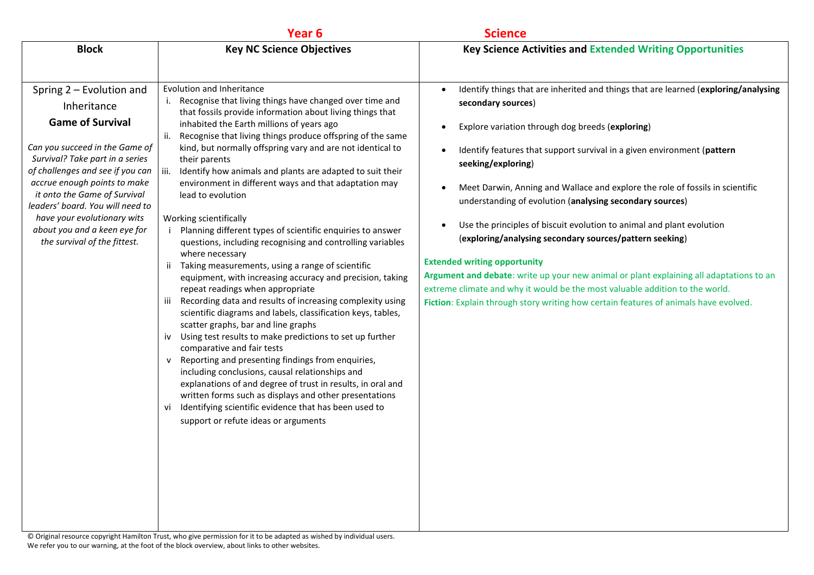|                                                                                                                                                                                                                                                                                                                                                                                | Year <sub>6</sub>                                                                                                                                                                                                                                                                                                                                                                                                                                                                                                                                                                                                                                                                                                                                                                                                                                                                                                                                                                                                                                                                                                                                                                                                                                                                                                                                                                                                                                                                | <b>Science</b>                                                                                                                                                                                                                                                                                                                                                                                                                                                                                                                                                                                                                                                                                                                                                                                                                                                                      |
|--------------------------------------------------------------------------------------------------------------------------------------------------------------------------------------------------------------------------------------------------------------------------------------------------------------------------------------------------------------------------------|----------------------------------------------------------------------------------------------------------------------------------------------------------------------------------------------------------------------------------------------------------------------------------------------------------------------------------------------------------------------------------------------------------------------------------------------------------------------------------------------------------------------------------------------------------------------------------------------------------------------------------------------------------------------------------------------------------------------------------------------------------------------------------------------------------------------------------------------------------------------------------------------------------------------------------------------------------------------------------------------------------------------------------------------------------------------------------------------------------------------------------------------------------------------------------------------------------------------------------------------------------------------------------------------------------------------------------------------------------------------------------------------------------------------------------------------------------------------------------|-------------------------------------------------------------------------------------------------------------------------------------------------------------------------------------------------------------------------------------------------------------------------------------------------------------------------------------------------------------------------------------------------------------------------------------------------------------------------------------------------------------------------------------------------------------------------------------------------------------------------------------------------------------------------------------------------------------------------------------------------------------------------------------------------------------------------------------------------------------------------------------|
| <b>Block</b>                                                                                                                                                                                                                                                                                                                                                                   | <b>Key NC Science Objectives</b>                                                                                                                                                                                                                                                                                                                                                                                                                                                                                                                                                                                                                                                                                                                                                                                                                                                                                                                                                                                                                                                                                                                                                                                                                                                                                                                                                                                                                                                 | <b>Key Science Activities and Extended Writing Opportunities</b>                                                                                                                                                                                                                                                                                                                                                                                                                                                                                                                                                                                                                                                                                                                                                                                                                    |
| Spring 2 - Evolution and<br>Inheritance<br><b>Game of Survival</b><br>Can you succeed in the Game of<br>Survival? Take part in a series<br>of challenges and see if you can<br>accrue enough points to make<br>it onto the Game of Survival<br>leaders' board. You will need to<br>have your evolutionary wits<br>about you and a keen eye for<br>the survival of the fittest. | Evolution and Inheritance<br>Recognise that living things have changed over time and<br>i.<br>that fossils provide information about living things that<br>inhabited the Earth millions of years ago<br>Recognise that living things produce offspring of the same<br>ii.<br>kind, but normally offspring vary and are not identical to<br>their parents<br>Identify how animals and plants are adapted to suit their<br>iii.<br>environment in different ways and that adaptation may<br>lead to evolution<br>Working scientifically<br>Planning different types of scientific enquiries to answer<br>questions, including recognising and controlling variables<br>where necessary<br>Taking measurements, using a range of scientific<br>ii.<br>equipment, with increasing accuracy and precision, taking<br>repeat readings when appropriate<br>Recording data and results of increasing complexity using<br>iii<br>scientific diagrams and labels, classification keys, tables,<br>scatter graphs, bar and line graphs<br>iv Using test results to make predictions to set up further<br>comparative and fair tests<br>Reporting and presenting findings from enquiries,<br>$\mathsf{v}$<br>including conclusions, causal relationships and<br>explanations of and degree of trust in results, in oral and<br>written forms such as displays and other presentations<br>Identifying scientific evidence that has been used to<br>Vİ<br>support or refute ideas or arguments | Identify things that are inherited and things that are learned (exploring/analysing<br>$\bullet$<br>secondary sources)<br>Explore variation through dog breeds (exploring)<br>$\bullet$<br>Identify features that support survival in a given environment (pattern<br>seeking/exploring)<br>Meet Darwin, Anning and Wallace and explore the role of fossils in scientific<br>understanding of evolution (analysing secondary sources)<br>Use the principles of biscuit evolution to animal and plant evolution<br>(exploring/analysing secondary sources/pattern seeking)<br><b>Extended writing opportunity</b><br>Argument and debate: write up your new animal or plant explaining all adaptations to an<br>extreme climate and why it would be the most valuable addition to the world.<br>Fiction: Explain through story writing how certain features of animals have evolved. |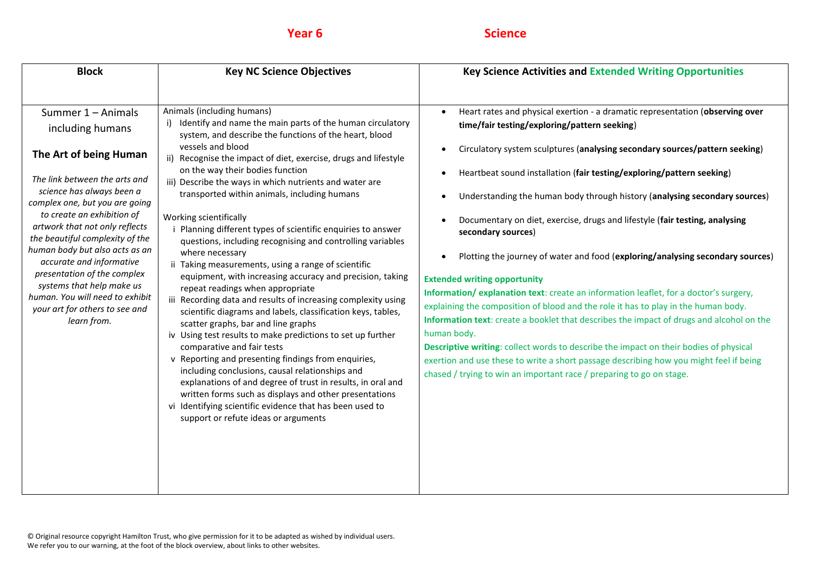# **Year 6 Science**

| Animals (including humans)<br>Summer 1 - Animals<br>$\bullet$<br>Identify and name the main parts of the human circulatory<br>including humans<br>system, and describe the functions of the heart, blood<br>vessels and blood<br>$\bullet$<br>The Art of being Human<br>ii) Recognise the impact of diet, exercise, drugs and lifestyle<br>on the way their bodies function<br>$\bullet$<br>The link between the arts and<br>iii) Describe the ways in which nutrients and water are<br>science has always been a<br>transported within animals, including humans<br>complex one, but you are going<br>to create an exhibition of<br>Working scientifically<br>artwork that not only reflects<br>Planning different types of scientific enquiries to answer<br>secondary sources)<br>the beautiful complexity of the<br>questions, including recognising and controlling variables<br>human body but also acts as an<br>where necessary<br>$\bullet$<br>accurate and informative<br>ii Taking measurements, using a range of scientific<br>presentation of the complex<br>equipment, with increasing accuracy and precision, taking<br><b>Extended writing opportunity</b><br>systems that help make us<br>repeat readings when appropriate<br>human. You will need to exhibit<br>iii Recording data and results of increasing complexity using<br>your art for others to see and<br>scientific diagrams and labels, classification keys, tables,<br>learn from.<br>scatter graphs, bar and line graphs<br>human body.<br>iv Using test results to make predictions to set up further<br>comparative and fair tests<br>v Reporting and presenting findings from enquiries,<br>including conclusions, causal relationships and<br>explanations of and degree of trust in results, in oral and<br>written forms such as displays and other presentations<br>vi Identifying scientific evidence that has been used to<br>support or refute ideas or arguments | Heart rates and physical exertion - a dramatic representation (observing over<br>time/fair testing/exploring/pattern seeking)<br>Circulatory system sculptures (analysing secondary sources/pattern seeking)<br>Heartbeat sound installation (fair testing/exploring/pattern seeking)<br>Understanding the human body through history (analysing secondary sources)<br>Documentary on diet, exercise, drugs and lifestyle (fair testing, analysing<br>Plotting the journey of water and food (exploring/analysing secondary sources)<br>Information/explanation text: create an information leaflet, for a doctor's surgery,<br>explaining the composition of blood and the role it has to play in the human body.<br>Information text: create a booklet that describes the impact of drugs and alcohol on the<br>Descriptive writing: collect words to describe the impact on their bodies of physical<br>exertion and use these to write a short passage describing how you might feel if being<br>chased / trying to win an important race / preparing to go on stage. |
|------------------------------------------------------------------------------------------------------------------------------------------------------------------------------------------------------------------------------------------------------------------------------------------------------------------------------------------------------------------------------------------------------------------------------------------------------------------------------------------------------------------------------------------------------------------------------------------------------------------------------------------------------------------------------------------------------------------------------------------------------------------------------------------------------------------------------------------------------------------------------------------------------------------------------------------------------------------------------------------------------------------------------------------------------------------------------------------------------------------------------------------------------------------------------------------------------------------------------------------------------------------------------------------------------------------------------------------------------------------------------------------------------------------------------------------------------------------------------------------------------------------------------------------------------------------------------------------------------------------------------------------------------------------------------------------------------------------------------------------------------------------------------------------------------------------------------------------------------------------------------------------------------------------------------------------------------------|---------------------------------------------------------------------------------------------------------------------------------------------------------------------------------------------------------------------------------------------------------------------------------------------------------------------------------------------------------------------------------------------------------------------------------------------------------------------------------------------------------------------------------------------------------------------------------------------------------------------------------------------------------------------------------------------------------------------------------------------------------------------------------------------------------------------------------------------------------------------------------------------------------------------------------------------------------------------------------------------------------------------------------------------------------------------------|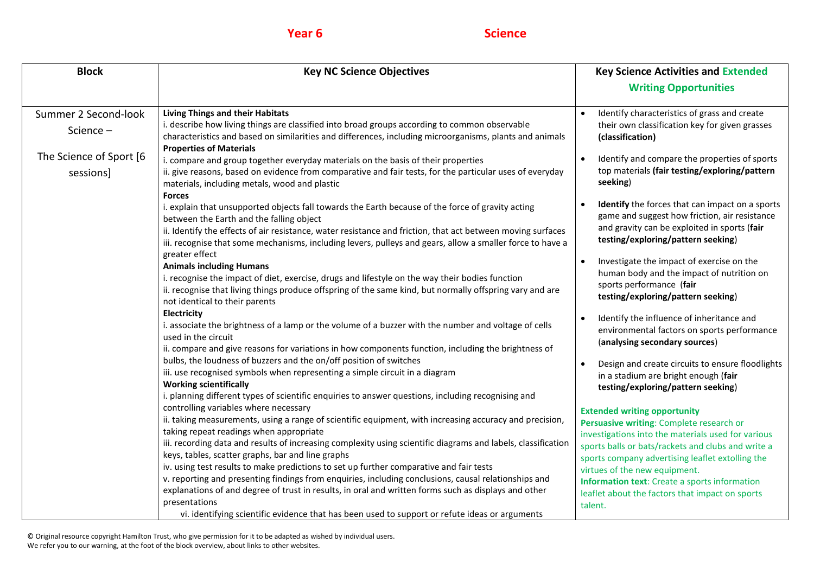# **Year 6 Science**

| <b>Block</b>                                                             | <b>Key NC Science Objectives</b>                                                                                                                                                                                                                                                                                                                                                                                                                                                                                                                                                                                                                                                                                                                                                                                                                                                                                                                                                                                                                                                                                                                                                                                                                                                                                                                                                                                                                                                                                                                                                                                                                                                                                                                                                                                                                                                                                                                                                                                                                                                                                                                                                                                                                                                                                                                                                                                                                                                              | <b>Key Science Activities and Extended</b>                                                                                                                                                                                                                                                                                                                                                                                                                                                                                                                                                                                                                                                                                                                                                                                                                                                                                                                                                                                                                                                                                                                                                                                                                      |
|--------------------------------------------------------------------------|-----------------------------------------------------------------------------------------------------------------------------------------------------------------------------------------------------------------------------------------------------------------------------------------------------------------------------------------------------------------------------------------------------------------------------------------------------------------------------------------------------------------------------------------------------------------------------------------------------------------------------------------------------------------------------------------------------------------------------------------------------------------------------------------------------------------------------------------------------------------------------------------------------------------------------------------------------------------------------------------------------------------------------------------------------------------------------------------------------------------------------------------------------------------------------------------------------------------------------------------------------------------------------------------------------------------------------------------------------------------------------------------------------------------------------------------------------------------------------------------------------------------------------------------------------------------------------------------------------------------------------------------------------------------------------------------------------------------------------------------------------------------------------------------------------------------------------------------------------------------------------------------------------------------------------------------------------------------------------------------------------------------------------------------------------------------------------------------------------------------------------------------------------------------------------------------------------------------------------------------------------------------------------------------------------------------------------------------------------------------------------------------------------------------------------------------------------------------------------------------------|-----------------------------------------------------------------------------------------------------------------------------------------------------------------------------------------------------------------------------------------------------------------------------------------------------------------------------------------------------------------------------------------------------------------------------------------------------------------------------------------------------------------------------------------------------------------------------------------------------------------------------------------------------------------------------------------------------------------------------------------------------------------------------------------------------------------------------------------------------------------------------------------------------------------------------------------------------------------------------------------------------------------------------------------------------------------------------------------------------------------------------------------------------------------------------------------------------------------------------------------------------------------|
|                                                                          |                                                                                                                                                                                                                                                                                                                                                                                                                                                                                                                                                                                                                                                                                                                                                                                                                                                                                                                                                                                                                                                                                                                                                                                                                                                                                                                                                                                                                                                                                                                                                                                                                                                                                                                                                                                                                                                                                                                                                                                                                                                                                                                                                                                                                                                                                                                                                                                                                                                                                               | <b>Writing Opportunities</b>                                                                                                                                                                                                                                                                                                                                                                                                                                                                                                                                                                                                                                                                                                                                                                                                                                                                                                                                                                                                                                                                                                                                                                                                                                    |
| Summer 2 Second-look<br>Science-<br>The Science of Sport [6<br>sessions] | <b>Living Things and their Habitats</b><br>i. describe how living things are classified into broad groups according to common observable<br>characteristics and based on similarities and differences, including microorganisms, plants and animals<br><b>Properties of Materials</b><br>i. compare and group together everyday materials on the basis of their properties<br>ii. give reasons, based on evidence from comparative and fair tests, for the particular uses of everyday<br>materials, including metals, wood and plastic<br><b>Forces</b><br>i. explain that unsupported objects fall towards the Earth because of the force of gravity acting<br>between the Earth and the falling object<br>ii. Identify the effects of air resistance, water resistance and friction, that act between moving surfaces<br>iii. recognise that some mechanisms, including levers, pulleys and gears, allow a smaller force to have a<br>greater effect<br><b>Animals including Humans</b><br>i. recognise the impact of diet, exercise, drugs and lifestyle on the way their bodies function<br>ii. recognise that living things produce offspring of the same kind, but normally offspring vary and are<br>not identical to their parents<br>Electricity<br>i. associate the brightness of a lamp or the volume of a buzzer with the number and voltage of cells<br>used in the circuit<br>ii. compare and give reasons for variations in how components function, including the brightness of<br>bulbs, the loudness of buzzers and the on/off position of switches<br>iii. use recognised symbols when representing a simple circuit in a diagram<br><b>Working scientifically</b><br>i. planning different types of scientific enquiries to answer questions, including recognising and<br>controlling variables where necessary<br>ii. taking measurements, using a range of scientific equipment, with increasing accuracy and precision,<br>taking repeat readings when appropriate<br>iii. recording data and results of increasing complexity using scientific diagrams and labels, classification<br>keys, tables, scatter graphs, bar and line graphs<br>iv. using test results to make predictions to set up further comparative and fair tests<br>v. reporting and presenting findings from enquiries, including conclusions, causal relationships and<br>explanations of and degree of trust in results, in oral and written forms such as displays and other<br>presentations | Identify characteristics of grass and create<br>their own classification key for given grasses<br>(classification)<br>Identify and compare the properties of sports<br>top materials (fair testing/exploring/pattern<br>seeking)<br>Identify the forces that can impact on a sports<br>game and suggest how friction, air resistance<br>and gravity can be exploited in sports (fair<br>testing/exploring/pattern seeking)<br>Investigate the impact of exercise on the<br>human body and the impact of nutrition on<br>sports performance (fair<br>testing/exploring/pattern seeking)<br>Identify the influence of inheritance and<br>environmental factors on sports performance<br>(analysing secondary sources)<br>Design and create circuits to ensure floodlights<br>in a stadium are bright enough (fair<br>testing/exploring/pattern seeking)<br><b>Extended writing opportunity</b><br>Persuasive writing: Complete research or<br>investigations into the materials used for various<br>sports balls or bats/rackets and clubs and write a<br>sports company advertising leaflet extolling the<br>virtues of the new equipment.<br><b>Information text:</b> Create a sports information<br>leaflet about the factors that impact on sports<br>talent. |
|                                                                          | vi. identifying scientific evidence that has been used to support or refute ideas or arguments                                                                                                                                                                                                                                                                                                                                                                                                                                                                                                                                                                                                                                                                                                                                                                                                                                                                                                                                                                                                                                                                                                                                                                                                                                                                                                                                                                                                                                                                                                                                                                                                                                                                                                                                                                                                                                                                                                                                                                                                                                                                                                                                                                                                                                                                                                                                                                                                |                                                                                                                                                                                                                                                                                                                                                                                                                                                                                                                                                                                                                                                                                                                                                                                                                                                                                                                                                                                                                                                                                                                                                                                                                                                                 |